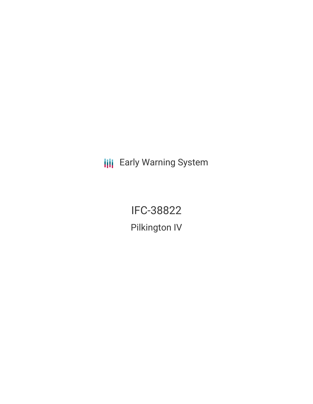**III** Early Warning System

IFC-38822 Pilkington IV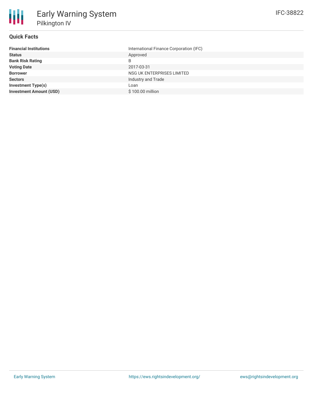## **Quick Facts**

| <b>Financial Institutions</b>  | International Finance Corporation (IFC) |
|--------------------------------|-----------------------------------------|
| <b>Status</b>                  | Approved                                |
| <b>Bank Risk Rating</b>        | B                                       |
| <b>Voting Date</b>             | 2017-03-31                              |
| <b>Borrower</b>                | NSG UK ENTERPRISES LIMITED              |
| <b>Sectors</b>                 | Industry and Trade                      |
| <b>Investment Type(s)</b>      | Loan                                    |
| <b>Investment Amount (USD)</b> | \$100.00 million                        |
|                                |                                         |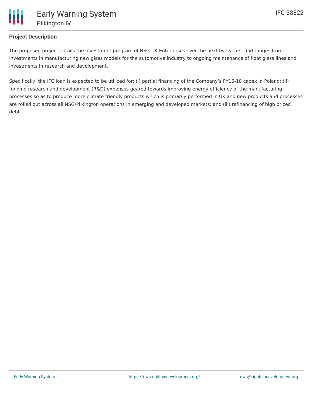# **Project Description**

The proposed project entails the investment program of NSG UK Enterprises over the next two years, and ranges from investments in manufacturing new glass models for the automotive industry to ongoing maintenance of float glass lines and investments in research and development.

Specifically, the IFC loan is expected to be utilized for: (i) partial financing of the Company's FY16-18 capex in Poland; (ii) funding research and development (R&D) expenses geared towards improving energy efficiency of the manufacturing processes so as to produce more climate friendly products which is primarily performed in UK and new products and processes are rolled out across all NSG/Pilkington operations in emerging and developed markets; and (iii) refinancing of high priced debt.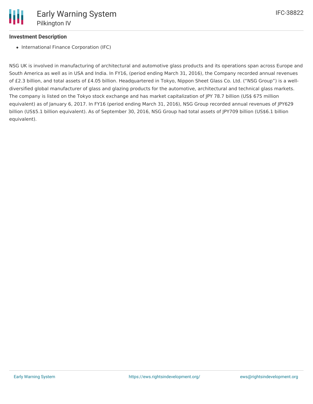## **Investment Description**

• International Finance Corporation (IFC)

NSG UK is involved in manufacturing of architectural and automotive glass products and its operations span across Europe and South America as well as in USA and India. In FY16, (period ending March 31, 2016), the Company recorded annual revenues of £2.3 billion, and total assets of £4.05 billion. Headquartered in Tokyo, Nippon Sheet Glass Co. Ltd. ("NSG Group") is a welldiversified global manufacturer of glass and glazing products for the automotive, architectural and technical glass markets. The company is listed on the Tokyo stock exchange and has market capitalization of JPY 78.7 billion (US\$ 675 million equivalent) as of January 6, 2017. In FY16 (period ending March 31, 2016), NSG Group recorded annual revenues of JPY629 billion (US\$5.1 billion equivalent). As of September 30, 2016, NSG Group had total assets of JPY709 billion (US\$6.1 billion equivalent).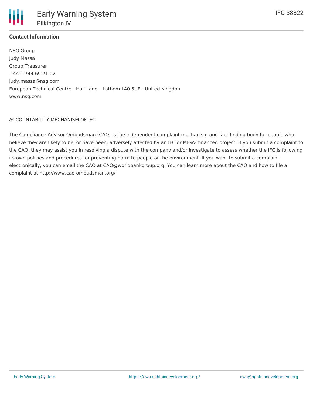

# **Contact Information**

NSG Group Judy Massa Group Treasurer +44 1 744 69 21 02 Judy.massa@nsg.com European Technical Centre - Hall Lane – Lathom L40 5UF - United Kingdom www.nsg.com

#### ACCOUNTABILITY MECHANISM OF IFC

The Compliance Advisor Ombudsman (CAO) is the independent complaint mechanism and fact-finding body for people who believe they are likely to be, or have been, adversely affected by an IFC or MIGA- financed project. If you submit a complaint to the CAO, they may assist you in resolving a dispute with the company and/or investigate to assess whether the IFC is following its own policies and procedures for preventing harm to people or the environment. If you want to submit a complaint electronically, you can email the CAO at CAO@worldbankgroup.org. You can learn more about the CAO and how to file a complaint at http://www.cao-ombudsman.org/